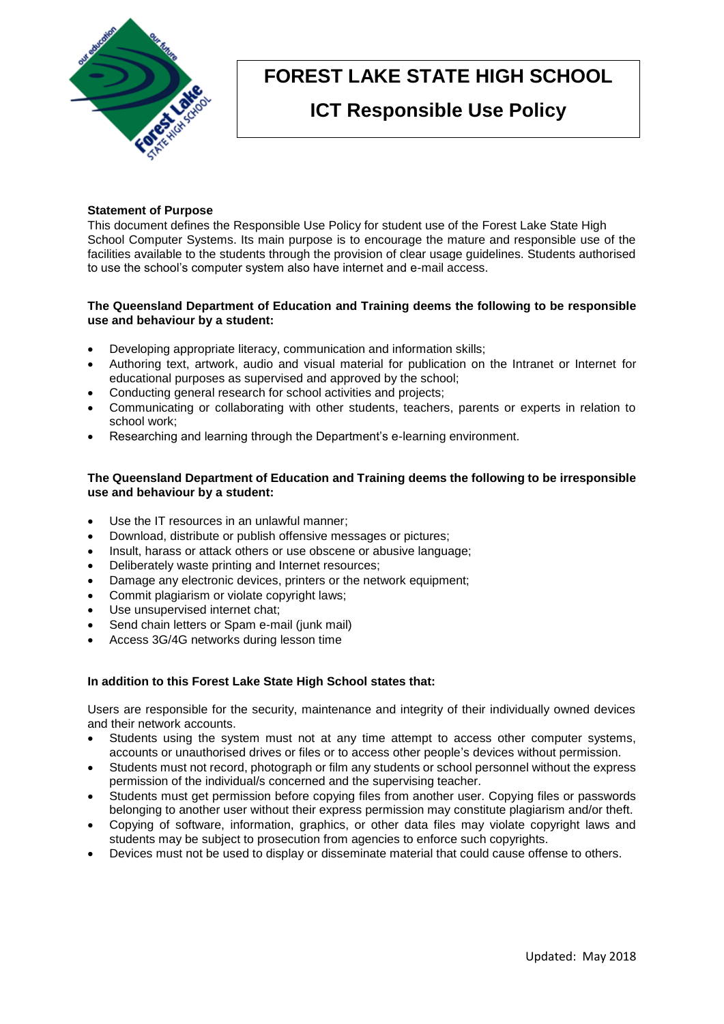

# **FOREST LAKE STATE HIGH SCHOOL**

# **ICT Responsible Use Policy**

## **Statement of Purpose**

This document defines the Responsible Use Policy for student use of the Forest Lake State High School Computer Systems. Its main purpose is to encourage the mature and responsible use of the facilities available to the students through the provision of clear usage guidelines. Students authorised to use the school's computer system also have internet and e-mail access.

#### **The Queensland Department of Education and Training deems the following to be responsible use and behaviour by a student:**

- Developing appropriate literacy, communication and information skills;
- Authoring text, artwork, audio and visual material for publication on the Intranet or Internet for educational purposes as supervised and approved by the school;
- Conducting general research for school activities and projects;
- Communicating or collaborating with other students, teachers, parents or experts in relation to school work;
- Researching and learning through the Department's e-learning environment.

# **The Queensland Department of Education and Training deems the following to be irresponsible use and behaviour by a student:**

- Use the IT resources in an unlawful manner;
- Download, distribute or publish offensive messages or pictures;
- Insult, harass or attack others or use obscene or abusive language;
- Deliberately waste printing and Internet resources;
- Damage any electronic devices, printers or the network equipment;
- Commit plagiarism or violate copyright laws;
- Use unsupervised internet chat;
- Send chain letters or Spam e-mail (junk mail)
- Access 3G/4G networks during lesson time

# **In addition to this Forest Lake State High School states that:**

Users are responsible for the security, maintenance and integrity of their individually owned devices and their network accounts.

- Students using the system must not at any time attempt to access other computer systems, accounts or unauthorised drives or files or to access other people's devices without permission.
- Students must not record, photograph or film any students or school personnel without the express permission of the individual/s concerned and the supervising teacher.
- Students must get permission before copying files from another user. Copying files or passwords belonging to another user without their express permission may constitute plagiarism and/or theft.
- Copying of software, information, graphics, or other data files may violate copyright laws and students may be subject to prosecution from agencies to enforce such copyrights.
- Devices must not be used to display or disseminate material that could cause offense to others.